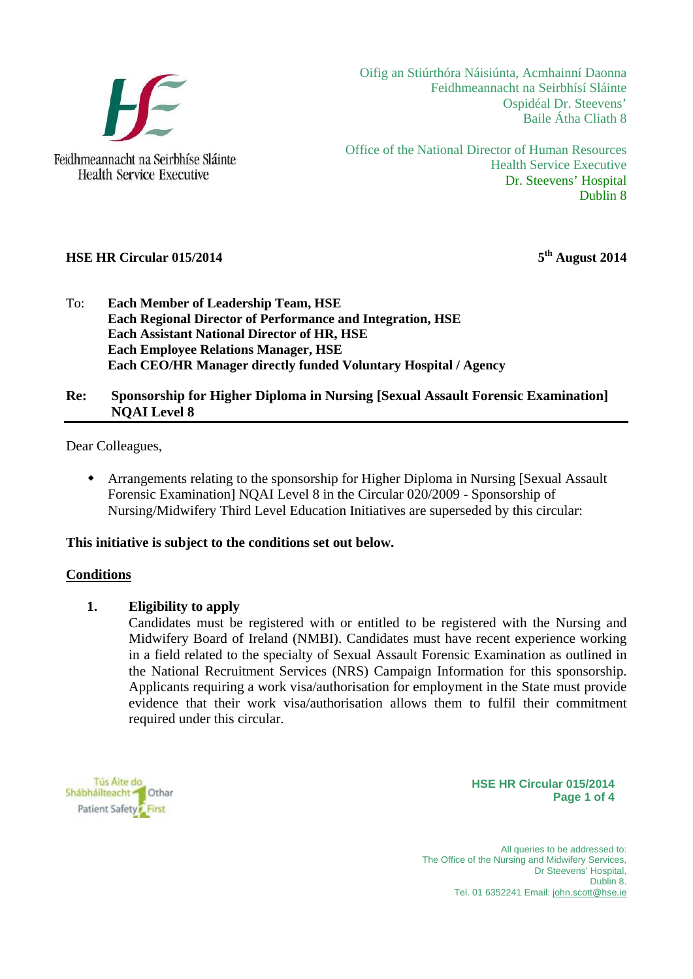

Feidhmeannacht na Seirbhíse Sláinte **Health Service Executive** 

Oifig an Stiúrthóra Náisiúnta, Acmhainní Daonna Feidhmeannacht na Seirbhísí Sláinte Ospidéal Dr. Steevens' Baile Átha Cliath 8

Office of the National Director of Human Resources Health Service Executive Dr. Steevens' Hospital Dublin 8

# **HSE HR Circular 015/2014** 5<sup>th</sup> August 2014

To: **Each Member of Leadership Team, HSE Each Regional Director of Performance and Integration, HSE Each Assistant National Director of HR, HSE Each Employee Relations Manager, HSE Each CEO/HR Manager directly funded Voluntary Hospital / Agency** 

## **Re: Sponsorship for Higher Diploma in Nursing [Sexual Assault Forensic Examination] NQAI Level 8**

Dear Colleagues,

 Arrangements relating to the sponsorship for Higher Diploma in Nursing [Sexual Assault Forensic Examination] NQAI Level 8 in the Circular 020/2009 - Sponsorship of Nursing/Midwifery Third Level Education Initiatives are superseded by this circular:

### **This initiative is subject to the conditions set out below.**

#### **Conditions**

### **1. Eligibility to apply**

Candidates must be registered with or entitled to be registered with the Nursing and Midwifery Board of Ireland (NMBI). Candidates must have recent experience working in a field related to the specialty of Sexual Assault Forensic Examination as outlined in the National Recruitment Services (NRS) Campaign Information for this sponsorship. Applicants requiring a work visa/authorisation for employment in the State must provide evidence that their work visa/authorisation allows them to fulfil their commitment required under this circular.

Tús Aite do Shábháilteacht Char Patient Safety First

**HSE HR Circular 015/2014 Page 1 of 4**

All queries to be addressed to: The Office of the Nursing and Midwifery Services. Dr Steevens' Hospital, Dublin 8. Tel. 01 6352241 Email: john.scott@hse.ie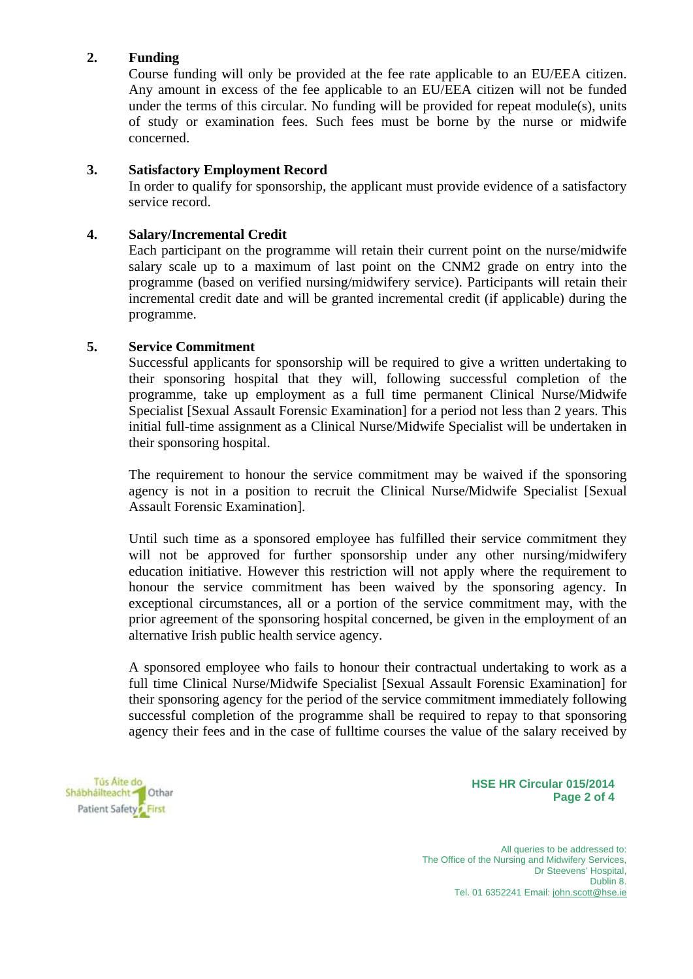# **2. Funding**

Course funding will only be provided at the fee rate applicable to an EU/EEA citizen. Any amount in excess of the fee applicable to an EU/EEA citizen will not be funded under the terms of this circular. No funding will be provided for repeat module(s), units of study or examination fees. Such fees must be borne by the nurse or midwife concerned.

# **3. Satisfactory Employment Record**

In order to qualify for sponsorship, the applicant must provide evidence of a satisfactory service record.

## **4. Salary/Incremental Credit**

Each participant on the programme will retain their current point on the nurse/midwife salary scale up to a maximum of last point on the CNM2 grade on entry into the programme (based on verified nursing/midwifery service). Participants will retain their incremental credit date and will be granted incremental credit (if applicable) during the programme.

# **5. Service Commitment**

Successful applicants for sponsorship will be required to give a written undertaking to their sponsoring hospital that they will, following successful completion of the programme, take up employment as a full time permanent Clinical Nurse/Midwife Specialist [Sexual Assault Forensic Examination] for a period not less than 2 years. This initial full-time assignment as a Clinical Nurse/Midwife Specialist will be undertaken in their sponsoring hospital.

The requirement to honour the service commitment may be waived if the sponsoring agency is not in a position to recruit the Clinical Nurse/Midwife Specialist [Sexual Assault Forensic Examination].

Until such time as a sponsored employee has fulfilled their service commitment they will not be approved for further sponsorship under any other nursing/midwifery education initiative. However this restriction will not apply where the requirement to honour the service commitment has been waived by the sponsoring agency. In exceptional circumstances, all or a portion of the service commitment may, with the prior agreement of the sponsoring hospital concerned, be given in the employment of an alternative Irish public health service agency.

A sponsored employee who fails to honour their contractual undertaking to work as a full time Clinical Nurse/Midwife Specialist [Sexual Assault Forensic Examination] for their sponsoring agency for the period of the service commitment immediately following successful completion of the programme shall be required to repay to that sponsoring agency their fees and in the case of fulltime courses the value of the salary received by

Tús Aite do Shábháilteacht Char Patient Safety First

**HSE HR Circular 015/2014 Page 2 of 4**

All queries to be addressed to: The Office of the Nursing and Midwifery Services, Dr Steevens' Hospital, Dublin 8. Tel. 01 6352241 Email: john.scott@hse.ie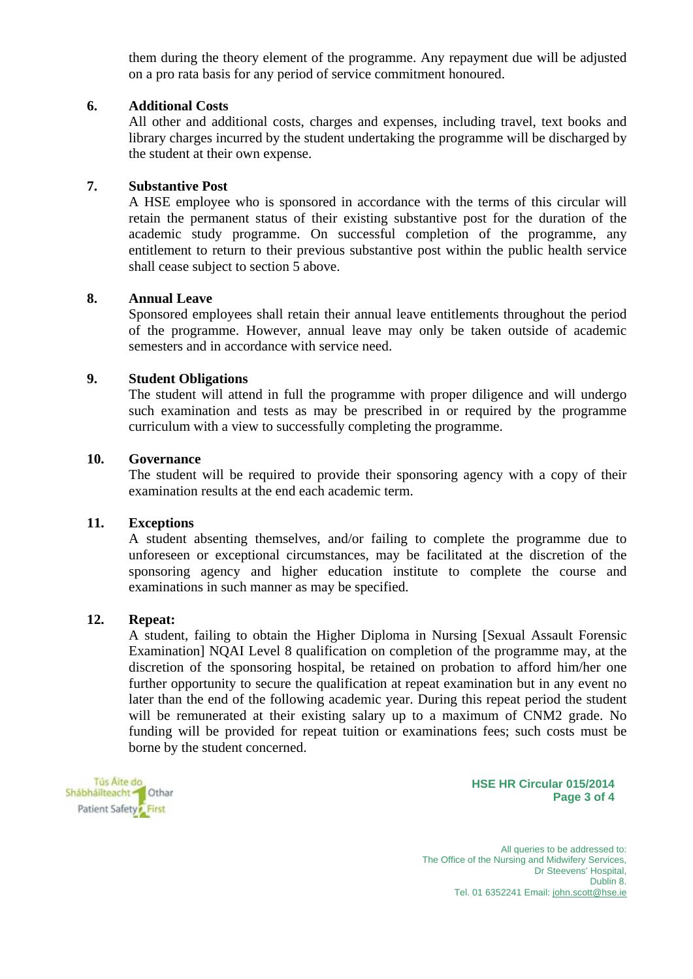them during the theory element of the programme. Any repayment due will be adjusted on a pro rata basis for any period of service commitment honoured.

### **6. Additional Costs**

All other and additional costs, charges and expenses, including travel, text books and library charges incurred by the student undertaking the programme will be discharged by the student at their own expense.

# **7. Substantive Post**

A HSE employee who is sponsored in accordance with the terms of this circular will retain the permanent status of their existing substantive post for the duration of the academic study programme. On successful completion of the programme, any entitlement to return to their previous substantive post within the public health service shall cease subject to section 5 above.

### **8. Annual Leave**

Sponsored employees shall retain their annual leave entitlements throughout the period of the programme. However, annual leave may only be taken outside of academic semesters and in accordance with service need.

#### **9. Student Obligations**

The student will attend in full the programme with proper diligence and will undergo such examination and tests as may be prescribed in or required by the programme curriculum with a view to successfully completing the programme.

### **10. Governance**

The student will be required to provide their sponsoring agency with a copy of their examination results at the end each academic term.

#### **11. Exceptions**

A student absenting themselves, and/or failing to complete the programme due to unforeseen or exceptional circumstances, may be facilitated at the discretion of the sponsoring agency and higher education institute to complete the course and examinations in such manner as may be specified.

#### **12. Repeat:**

A student, failing to obtain the Higher Diploma in Nursing [Sexual Assault Forensic Examination] NQAI Level 8 qualification on completion of the programme may, at the discretion of the sponsoring hospital, be retained on probation to afford him/her one further opportunity to secure the qualification at repeat examination but in any event no later than the end of the following academic year. During this repeat period the student will be remunerated at their existing salary up to a maximum of CNM2 grade. No funding will be provided for repeat tuition or examinations fees; such costs must be borne by the student concerned.

Tús Aite do Shábháilteacht <sup>2</sup> Othar Patient Safety First

**HSE HR Circular 015/2014 Page 3 of 4**

All queries to be addressed to: The Office of the Nursing and Midwifery Services, Dr Steevens' Hospital, Dublin 8. Tel. 01 6352241 Email: john.scott@hse.ie